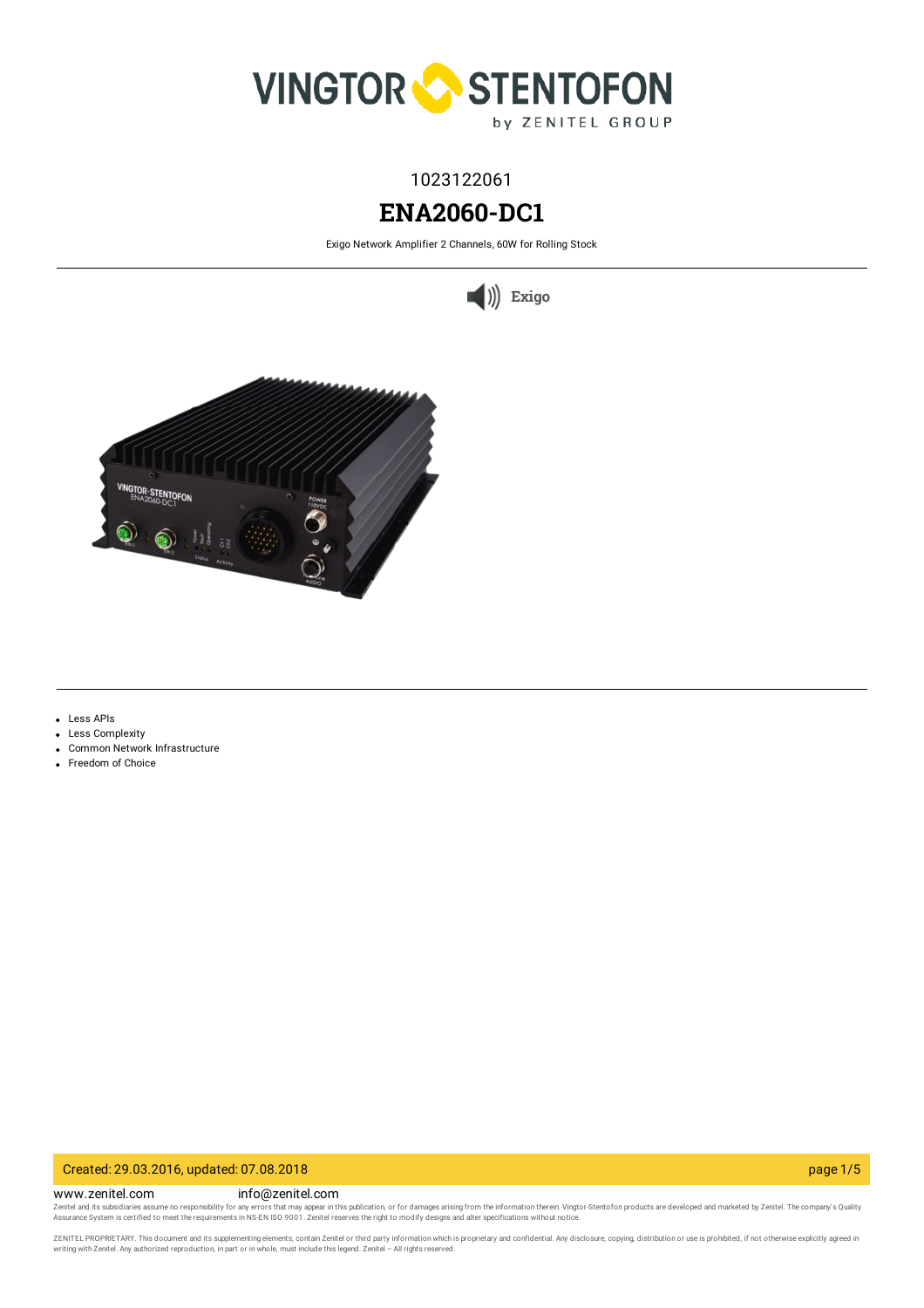

# 1023122061

# **ENA2060-DC1**

Exigo Network Amplifier 2 Channels, 60W for Rolling Stock





- Less APIs
- Less Complexity
- Common Network Infrastructure
- Freedom of Choice

## Created: 29.03.2016, updated: 07.08.2018 page 1/5

www.zenitel.com info@zenitel.com

Zenitel and its subsidiaries assume no responsibility for any errors that may appear in this publication, or for damages arising from the information therein. Vingtor-Stentofon products are developed and marketed by Zenite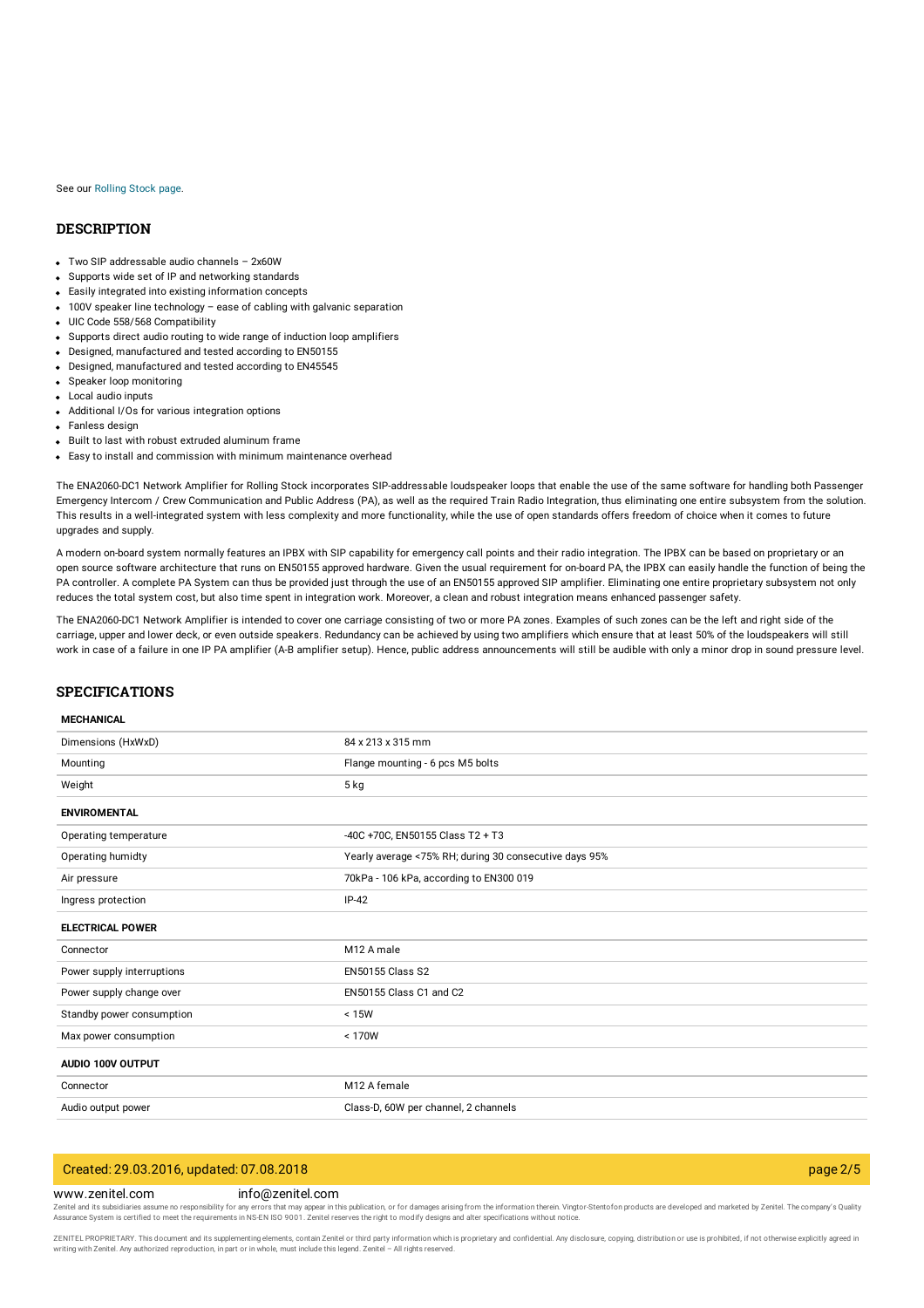#### See our [Rolling](https://www.zenitel.com/transportation/rolling-stock) Stock page.

## **DESCRIPTION**

- Two SIP addressable audio channels 2x60W
- Supports wide set of IP and networking standards
- Easily integrated into existing information concepts
- 100V speaker line technology ease of cabling with galvanic separation
- UIC Code 558/568 Compatibility
- Supports direct audio routing to wide range of induction loop amplifiers
- Designed, manufactured and tested according to EN50155
- Designed, manufactured and tested according to EN45545
- Speaker loop monitoring
- Local audio inputs
- Additional I/Os for various integration options
- Fanless design
- Built to last with robust extruded aluminum frame
- Easy to install and commission with minimum maintenance overhead

The ENA2060-DC1 Network Amplifier for Rolling Stock incorporates SIP-addressable loudspeaker loops that enable the use of the same software for handling both Passenger Emergency Intercom / Crew Communication and Public Address (PA), as well as the required Train Radio Integration, thus eliminating one entire subsystem from the solution. This results in a well-integrated system with less complexity and more functionality, while the use of open standards offers freedom of choice when it comes to future upgrades and supply.

A modern on-board system normally features an IPBX with SIP capability for emergency call points and their radio integration. The IPBX can be based on proprietary or an open source software architecture that runs on EN50155 approved hardware. Given the usual requirement for on-board PA, the IPBX can easily handle the function of being the PA controller. A complete PA System can thus be provided just through the use of an EN50155 approved SIP amplifier. Eliminating one entire proprietary subsystem not only reduces the total system cost, but also time spent in integration work. Moreover, a clean and robust integration means enhanced passenger safety.

The ENA2060-DC1 Network Amplifier is intended to cover one carriage consisting of two or more PA zones. Examples of such zones can be the left and right side of the carriage, upper and lower deck, or even outside speakers. Redundancy can be achieved by using two amplifiers which ensure that at least 50% of the loudspeakers will still work in case of a failure in one IP PA amplifier (A-B amplifier setup). Hence, public address announcements will still be audible with only a minor drop in sound pressure level.

## **SPECIFICATIONS**

#### **MECHANICAL**

| Dimensions (HxWxD)         | 84 x 213 x 315 mm                                      |
|----------------------------|--------------------------------------------------------|
| Mounting                   | Flange mounting - 6 pcs M5 bolts                       |
| Weight                     | 5 kg                                                   |
| <b>ENVIROMENTAL</b>        |                                                        |
| Operating temperature      | -40C +70C, EN50155 Class T2 + T3                       |
| Operating humidty          | Yearly average <75% RH; during 30 consecutive days 95% |
| Air pressure               | 70kPa - 106 kPa, according to EN300 019                |
| Ingress protection         | $IP-42$                                                |
| <b>ELECTRICAL POWER</b>    |                                                        |
| Connector                  | M12 A male                                             |
| Power supply interruptions | <b>EN50155 Class S2</b>                                |
| Power supply change over   | EN50155 Class C1 and C2                                |
| Standby power consumption  | < 15W                                                  |
| Max power consumption      | < 170W                                                 |
| AUDIO 100V OUTPUT          |                                                        |
| Connector                  | M12 A female                                           |
| Audio output power         | Class-D, 60W per channel, 2 channels                   |

# Created: 29.03.2016, updated: 07.08.2018 page 2/5

#### www.zenitel.com info@zenitel.com

Zenitel and its subsidiaries assume no responsibility for any errors that may appear in this publication, or for damages arising from the information therein. Vingtor-Stentofon products are developed and marketed by Zenite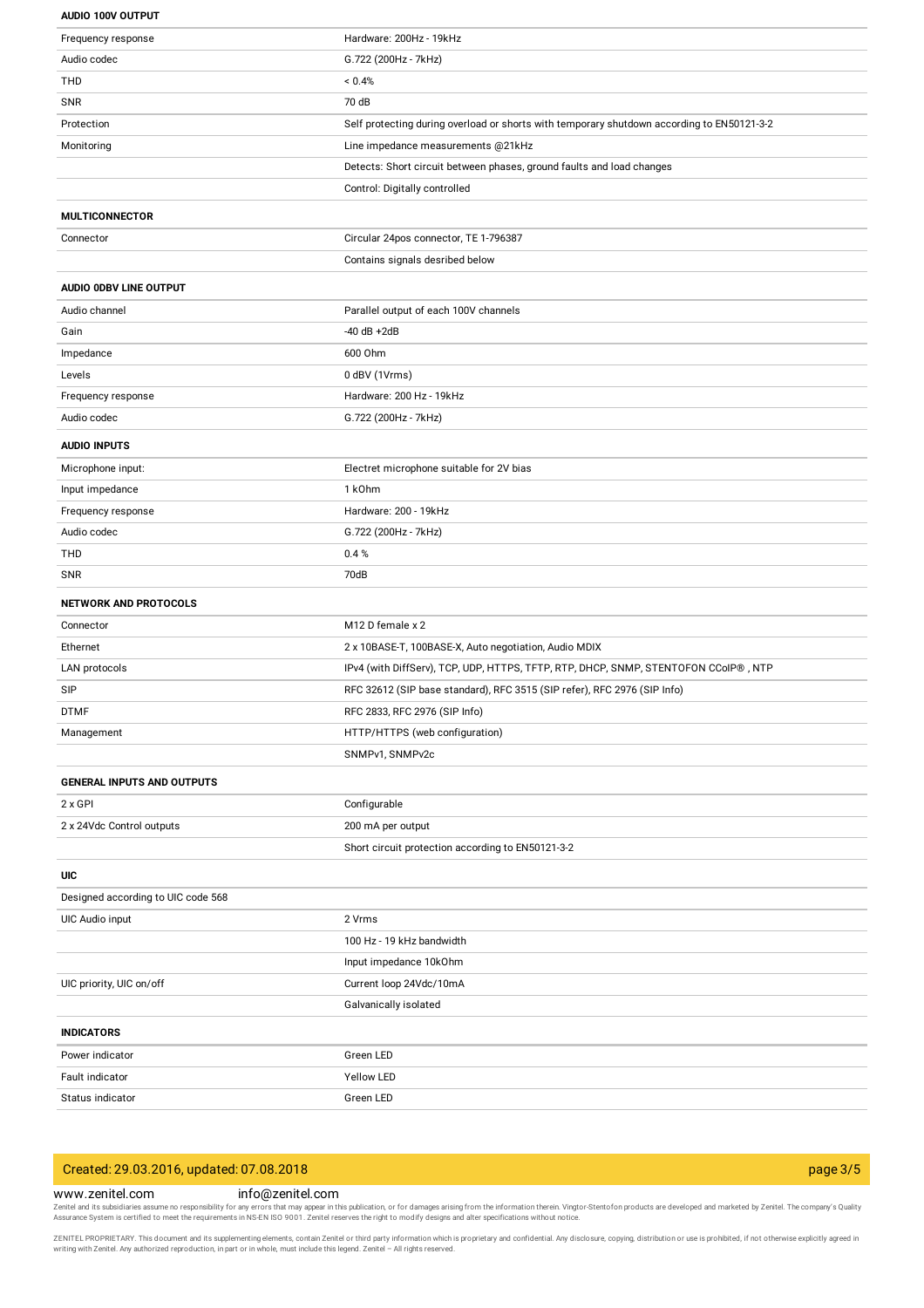#### **AUDIO 100V OUTPUT**

| Frequency response                 | Hardware: 200Hz - 19kHz                                                                    |
|------------------------------------|--------------------------------------------------------------------------------------------|
| Audio codec                        | G.722 (200Hz - 7kHz)                                                                       |
| THD                                | < 0.4%                                                                                     |
| <b>SNR</b>                         | 70 dB                                                                                      |
| Protection                         | Self protecting during overload or shorts with temporary shutdown according to EN50121-3-2 |
| Monitoring                         | Line impedance measurements @21kHz                                                         |
|                                    | Detects: Short circuit between phases, ground faults and load changes                      |
|                                    | Control: Digitally controlled                                                              |
| <b>MULTICONNECTOR</b>              |                                                                                            |
| Connector                          | Circular 24pos connector, TE 1-796387                                                      |
|                                    | Contains signals desribed below                                                            |
| AUDIO ODBV LINE OUTPUT             |                                                                                            |
| Audio channel                      | Parallel output of each 100V channels                                                      |
| Gain                               | $-40$ dB $+2$ dB                                                                           |
| Impedance                          | 600 Ohm                                                                                    |
| Levels                             | 0 dBV (1Vrms)                                                                              |
| Frequency response                 | Hardware: 200 Hz - 19kHz                                                                   |
| Audio codec                        | G.722 (200Hz - 7kHz)                                                                       |
|                                    |                                                                                            |
| <b>AUDIO INPUTS</b>                |                                                                                            |
| Microphone input:                  | Electret microphone suitable for 2V bias                                                   |
| Input impedance                    | 1 k <sub>Ohm</sub>                                                                         |
| Frequency response                 | Hardware: 200 - 19kHz                                                                      |
| Audio codec                        | G.722 (200Hz - 7kHz)                                                                       |
| THD                                | 0.4%                                                                                       |
| SNR                                | 70dB                                                                                       |
| <b>NETWORK AND PROTOCOLS</b>       |                                                                                            |
| Connector                          | M12 D female x 2                                                                           |
| Ethernet                           | 2 x 10BASE-T, 100BASE-X, Auto negotiation, Audio MDIX                                      |
| LAN protocols                      | IPv4 (with DiffServ), TCP, UDP, HTTPS, TFTP, RTP, DHCP, SNMP, STENTOFON CCoIP®, NTP        |
| SIP                                | RFC 32612 (SIP base standard), RFC 3515 (SIP refer), RFC 2976 (SIP Info)                   |
| <b>DTMF</b>                        | RFC 2833, RFC 2976 (SIP Info)                                                              |
| Management                         | HTTP/HTTPS (web configuration)                                                             |
|                                    | SNMPv1, SNMPv2c                                                                            |
| <b>GENERAL INPUTS AND OUTPUTS</b>  |                                                                                            |
| 2 x GPI                            | Configurable                                                                               |
| 2 x 24Vdc Control outputs          | 200 mA per output                                                                          |
|                                    | Short circuit protection according to EN50121-3-2                                          |
| UIC                                |                                                                                            |
| Designed according to UIC code 568 |                                                                                            |
| UIC Audio input                    | 2 Vrms                                                                                     |
|                                    | 100 Hz - 19 kHz bandwidth                                                                  |
|                                    | Input impedance 10kOhm                                                                     |
| UIC priority, UIC on/off           | Current loop 24Vdc/10mA                                                                    |
|                                    | Galvanically isolated                                                                      |
| <b>INDICATORS</b>                  |                                                                                            |
| Power indicator                    | Green LED                                                                                  |
| Fault indicator                    | Yellow LED                                                                                 |
| Status indicator                   | Green LED                                                                                  |
|                                    |                                                                                            |

# Created: 29.03.2016, updated: 07.08.2018 page 3/5

## www.zenitel.com info@zenitel.com

Zenitel and its subsidiaries assume no responsibility for any errors that may appear in this publication, or for damages arising from the information therein. Vingtor-Stentofon products are developed and marketed by Zenite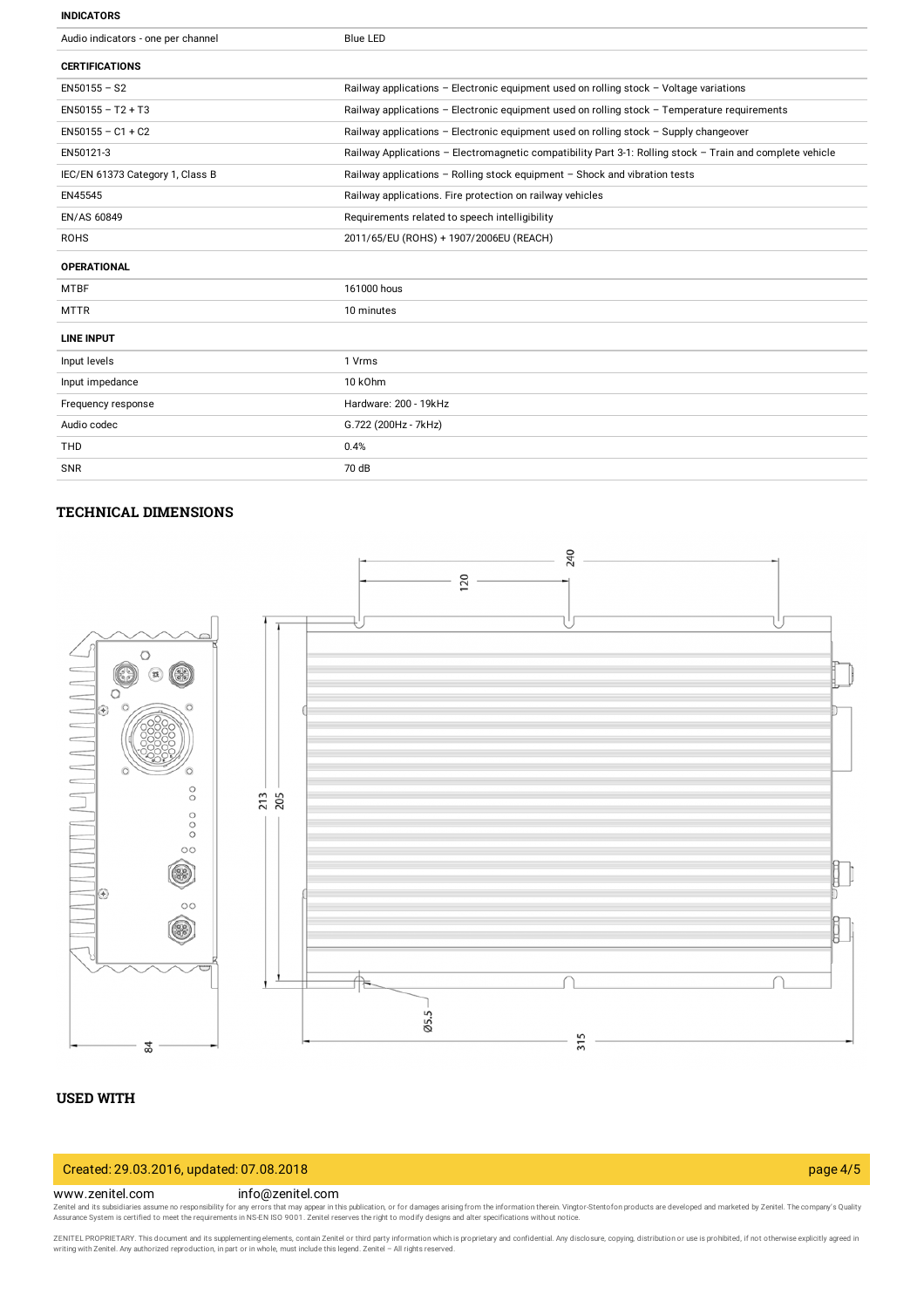#### **INDICATORS**

| Audio indicators - one per channel | <b>Blue LED</b>                                                                                           |
|------------------------------------|-----------------------------------------------------------------------------------------------------------|
| <b>CERTIFICATIONS</b>              |                                                                                                           |
| $EN50155 - S2$                     | Railway applications - Electronic equipment used on rolling stock - Voltage variations                    |
| $EN50155 - T2 + T3$                | Railway applications - Electronic equipment used on rolling stock - Temperature requirements              |
| $EN50155 - C1 + C2$                | Railway applications - Electronic equipment used on rolling stock - Supply changeover                     |
| EN50121-3                          | Railway Applications - Electromagnetic compatibility Part 3-1: Rolling stock - Train and complete vehicle |
| IEC/EN 61373 Category 1, Class B   | Railway applications - Rolling stock equipment - Shock and vibration tests                                |
| EN45545                            | Railway applications. Fire protection on railway vehicles                                                 |
| EN/AS 60849                        | Requirements related to speech intelligibility                                                            |
| <b>ROHS</b>                        | 2011/65/EU (ROHS) + 1907/2006EU (REACH)                                                                   |
| <b>OPERATIONAL</b>                 |                                                                                                           |
| <b>MTBF</b>                        | 161000 hous                                                                                               |
| <b>MTTR</b>                        | 10 minutes                                                                                                |
| <b>LINE INPUT</b>                  |                                                                                                           |
| Input levels                       | 1 Vrms                                                                                                    |
| Input impedance                    | 10 kOhm                                                                                                   |
| Frequency response                 | Hardware: 200 - 19kHz                                                                                     |
| Audio codec                        | G.722 (200Hz - 7kHz)                                                                                      |
| <b>THD</b>                         | 0.4%                                                                                                      |
| <b>SNR</b>                         | 70 dB                                                                                                     |

# **TECHNICAL DIMENSIONS**



# **USED WITH**

# Created: 29.03.2016, updated: 07.08.2018 page 4/5

### www.zenitel.com info@zenitel.com

Zenitel and its subsidiaries assume no responsibility for any errors that may appear in this publication, or for damages arising from the information therein. Vingtor-Stentofon products are developed and marketed by Zenite